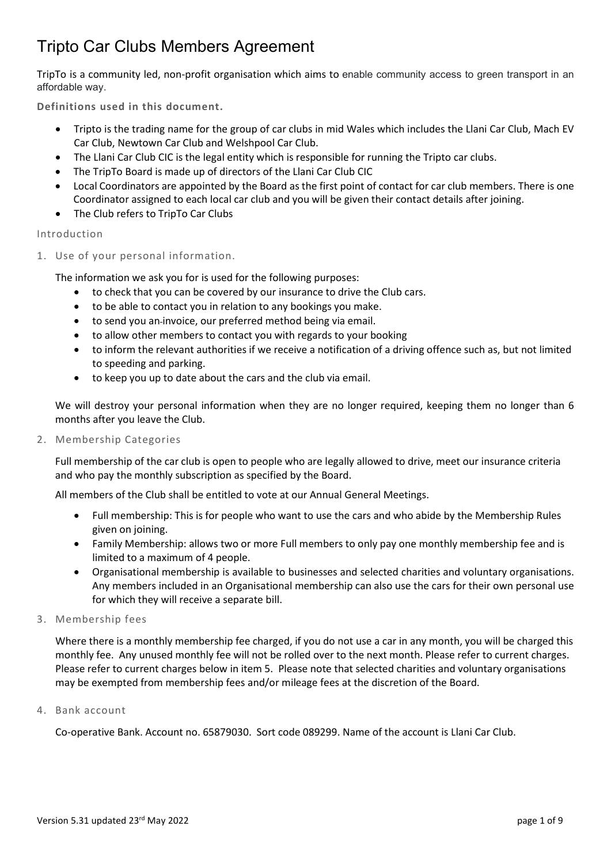TripTo is a community led, non-profit organisation which aims to enable community access to green transport in an affordable way.

Definitions used in this document.

- Tripto is the trading name for the group of car clubs in mid Wales which includes the Llani Car Club, Mach EV Car Club, Newtown Car Club and Welshpool Car Club.
- The Llani Car Club CIC is the legal entity which is responsible for running the Tripto car clubs.
- The TripTo Board is made up of directors of the Llani Car Club CIC
- Local Coordinators are appointed by the Board as the first point of contact for car club members. There is one Coordinator assigned to each local car club and you will be given their contact details after joining.
- The Club refers to TripTo Car Clubs

#### Introduction

1. Use of your personal information.

The information we ask you for is used for the following purposes:

- to check that you can be covered by our insurance to drive the Club cars.
- to be able to contact you in relation to any bookings you make.
- to send you an invoice, our preferred method being via email.
- to allow other members to contact you with regards to your booking
- to inform the relevant authorities if we receive a notification of a driving offence such as, but not limited to speeding and parking.
- to keep you up to date about the cars and the club via email.

We will destroy your personal information when they are no longer required, keeping them no longer than 6 months after you leave the Club.

2. Membership Categories

Full membership of the car club is open to people who are legally allowed to drive, meet our insurance criteria and who pay the monthly subscription as specified by the Board.

All members of the Club shall be entitled to vote at our Annual General Meetings.

- Full membership: This is for people who want to use the cars and who abide by the Membership Rules given on joining.
- Family Membership: allows two or more Full members to only pay one monthly membership fee and is limited to a maximum of 4 people.
- Organisational membership is available to businesses and selected charities and voluntary organisations. Any members included in an Organisational membership can also use the cars for their own personal use for which they will receive a separate bill.
- 3. Membership fees

Where there is a monthly membership fee charged, if you do not use a car in any month, you will be charged this monthly fee. Any unused monthly fee will not be rolled over to the next month. Please refer to current charges. Please refer to current charges below in item 5. Please note that selected charities and voluntary organisations may be exempted from membership fees and/or mileage fees at the discretion of the Board.

4. Bank account

Co-operative Bank. Account no. 65879030. Sort code 089299. Name of the account is Llani Car Club.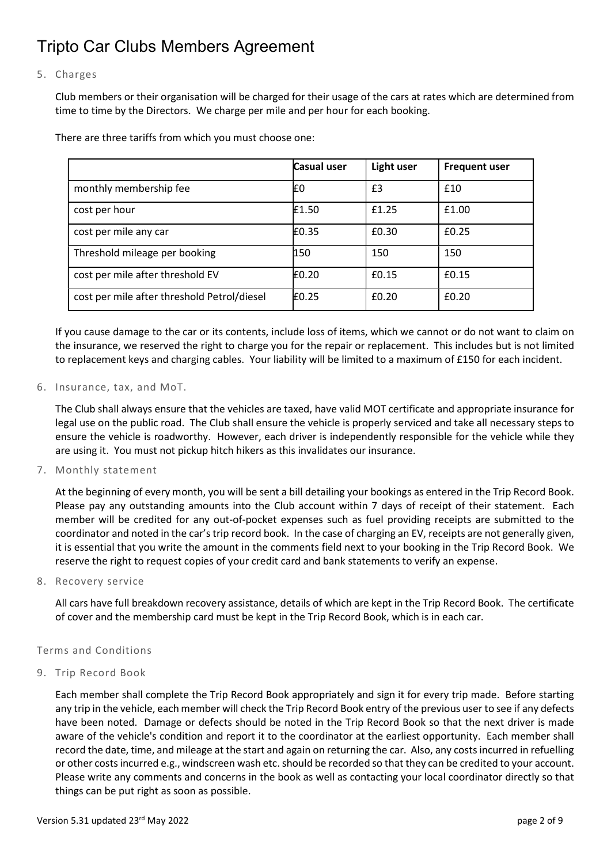#### 5. Charges

Club members or their organisation will be charged for their usage of the cars at rates which are determined from time to time by the Directors. We charge per mile and per hour for each booking.

There are three tariffs from which you must choose one:

|                                             | Casual user | Light user | <b>Frequent user</b> |
|---------------------------------------------|-------------|------------|----------------------|
| monthly membership fee                      | ۴0          | £3         | £10                  |
| cost per hour                               | £1.50       | £1.25      | £1.00                |
| cost per mile any car                       | £0.35       | £0.30      | £0.25                |
| Threshold mileage per booking               | 150         | 150        | 150                  |
| cost per mile after threshold EV            | E0.20       | £0.15      | £0.15                |
| cost per mile after threshold Petrol/diesel | £0.25       | £0.20      | £0.20                |

If you cause damage to the car or its contents, include loss of items, which we cannot or do not want to claim on the insurance, we reserved the right to charge you for the repair or replacement. This includes but is not limited to replacement keys and charging cables. Your liability will be limited to a maximum of £150 for each incident.

6. Insurance, tax, and MoT.

The Club shall always ensure that the vehicles are taxed, have valid MOT certificate and appropriate insurance for legal use on the public road. The Club shall ensure the vehicle is properly serviced and take all necessary steps to ensure the vehicle is roadworthy. However, each driver is independently responsible for the vehicle while they are using it. You must not pickup hitch hikers as this invalidates our insurance.

7. Monthly statement

At the beginning of every month, you will be sent a bill detailing your bookings as entered in the Trip Record Book. Please pay any outstanding amounts into the Club account within 7 days of receipt of their statement. Each member will be credited for any out-of-pocket expenses such as fuel providing receipts are submitted to the coordinator and noted in the car's trip record book. In the case of charging an EV, receipts are not generally given, it is essential that you write the amount in the comments field next to your booking in the Trip Record Book. We reserve the right to request copies of your credit card and bank statements to verify an expense.

8. Recovery service

All cars have full breakdown recovery assistance, details of which are kept in the Trip Record Book. The certificate of cover and the membership card must be kept in the Trip Record Book, which is in each car.

#### Terms and Conditions

9. Trip Record Book

Each member shall complete the Trip Record Book appropriately and sign it for every trip made. Before starting any trip in the vehicle, each member will check the Trip Record Book entry of the previous user to see if any defects have been noted. Damage or defects should be noted in the Trip Record Book so that the next driver is made aware of the vehicle's condition and report it to the coordinator at the earliest opportunity. Each member shall record the date, time, and mileage at the start and again on returning the car. Also, any costs incurred in refuelling or other costs incurred e.g., windscreen wash etc. should be recorded so that they can be credited to your account. Please write any comments and concerns in the book as well as contacting your local coordinator directly so that things can be put right as soon as possible.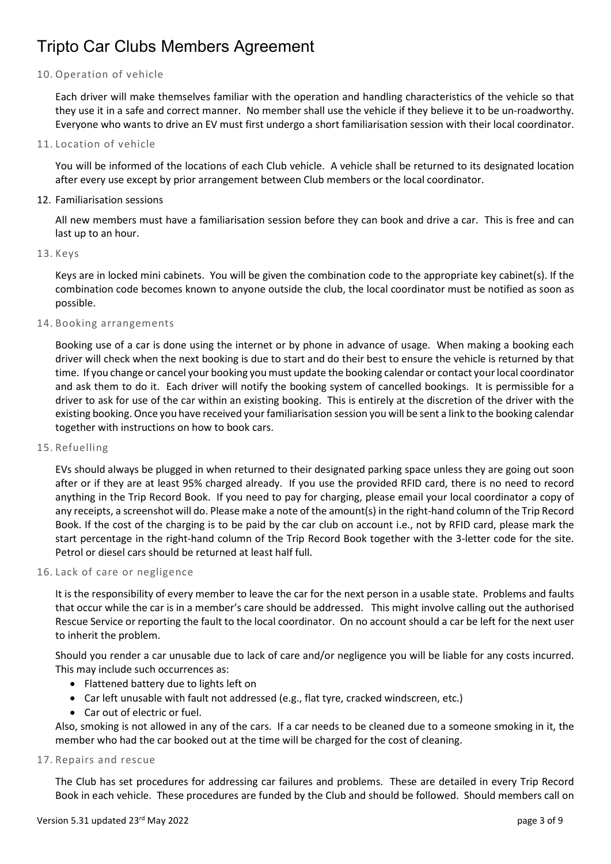10. Operation of vehicle

Each driver will make themselves familiar with the operation and handling characteristics of the vehicle so that they use it in a safe and correct manner. No member shall use the vehicle if they believe it to be un-roadworthy. Everyone who wants to drive an EV must first undergo a short familiarisation session with their local coordinator.

11. Location of vehicle

You will be informed of the locations of each Club vehicle. A vehicle shall be returned to its designated location after every use except by prior arrangement between Club members or the local coordinator.

12. Familiarisation sessions

All new members must have a familiarisation session before they can book and drive a car. This is free and can last up to an hour.

13. Keys

Keys are in locked mini cabinets. You will be given the combination code to the appropriate key cabinet(s). If the combination code becomes known to anyone outside the club, the local coordinator must be notified as soon as possible.

14. Booking arrangements

Booking use of a car is done using the internet or by phone in advance of usage. When making a booking each driver will check when the next booking is due to start and do their best to ensure the vehicle is returned by that time. If you change or cancel your booking you must update the booking calendar or contact your local coordinator and ask them to do it. Each driver will notify the booking system of cancelled bookings. It is permissible for a driver to ask for use of the car within an existing booking. This is entirely at the discretion of the driver with the existing booking. Once you have received your familiarisation session you will be sent a link to the booking calendar together with instructions on how to book cars.

15. Refuelling

EVs should always be plugged in when returned to their designated parking space unless they are going out soon after or if they are at least 95% charged already. If you use the provided RFID card, there is no need to record anything in the Trip Record Book. If you need to pay for charging, please email your local coordinator a copy of any receipts, a screenshot will do. Please make a note of the amount(s) in the right-hand column of the Trip Record Book. If the cost of the charging is to be paid by the car club on account i.e., not by RFID card, please mark the start percentage in the right-hand column of the Trip Record Book together with the 3-letter code for the site. Petrol or diesel cars should be returned at least half full.

16. Lack of care or negligence

It is the responsibility of every member to leave the car for the next person in a usable state. Problems and faults that occur while the car is in a member's care should be addressed. This might involve calling out the authorised Rescue Service or reporting the fault to the local coordinator. On no account should a car be left for the next user to inherit the problem.

Should you render a car unusable due to lack of care and/or negligence you will be liable for any costs incurred. This may include such occurrences as:

- Flattened battery due to lights left on
- Car left unusable with fault not addressed (e.g., flat tyre, cracked windscreen, etc.)
- Car out of electric or fuel.

Also, smoking is not allowed in any of the cars. If a car needs to be cleaned due to a someone smoking in it, the member who had the car booked out at the time will be charged for the cost of cleaning.

17. Repairs and rescue

The Club has set procedures for addressing car failures and problems. These are detailed in every Trip Record Book in each vehicle. These procedures are funded by the Club and should be followed. Should members call on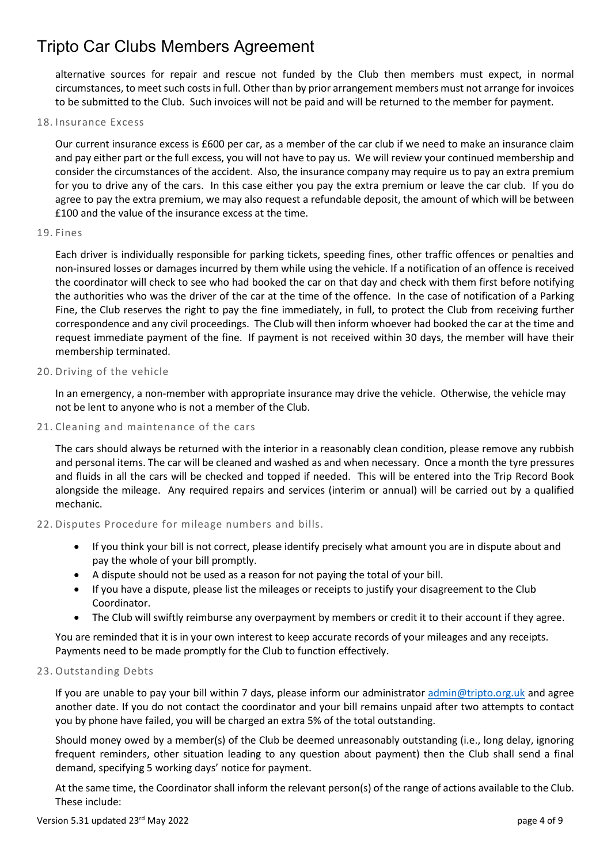alternative sources for repair and rescue not funded by the Club then members must expect, in normal circumstances, to meet such costs in full. Other than by prior arrangement members must not arrange for invoices to be submitted to the Club. Such invoices will not be paid and will be returned to the member for payment.

#### 18. Insurance Excess

Our current insurance excess is £600 per car, as a member of the car club if we need to make an insurance claim and pay either part or the full excess, you will not have to pay us. We will review your continued membership and consider the circumstances of the accident. Also, the insurance company may require us to pay an extra premium for you to drive any of the cars. In this case either you pay the extra premium or leave the car club. If you do agree to pay the extra premium, we may also request a refundable deposit, the amount of which will be between £100 and the value of the insurance excess at the time.

#### 19. Fines

Each driver is individually responsible for parking tickets, speeding fines, other traffic offences or penalties and non-insured losses or damages incurred by them while using the vehicle. If a notification of an offence is received the coordinator will check to see who had booked the car on that day and check with them first before notifying the authorities who was the driver of the car at the time of the offence. In the case of notification of a Parking Fine, the Club reserves the right to pay the fine immediately, in full, to protect the Club from receiving further correspondence and any civil proceedings. The Club will then inform whoever had booked the car at the time and request immediate payment of the fine. If payment is not received within 30 days, the member will have their membership terminated.

#### 20. Driving of the vehicle

In an emergency, a non-member with appropriate insurance may drive the vehicle. Otherwise, the vehicle may not be lent to anyone who is not a member of the Club.

#### 21. Cleaning and maintenance of the cars

The cars should always be returned with the interior in a reasonably clean condition, please remove any rubbish and personal items. The car will be cleaned and washed as and when necessary. Once a month the tyre pressures and fluids in all the cars will be checked and topped if needed. This will be entered into the Trip Record Book alongside the mileage. Any required repairs and services (interim or annual) will be carried out by a qualified mechanic.

#### 22. Disputes Procedure for mileage numbers and bills.

- If you think your bill is not correct, please identify precisely what amount you are in dispute about and pay the whole of your bill promptly.
- A dispute should not be used as a reason for not paying the total of your bill.
- If you have a dispute, please list the mileages or receipts to justify your disagreement to the Club Coordinator.
- The Club will swiftly reimburse any overpayment by members or credit it to their account if they agree.

You are reminded that it is in your own interest to keep accurate records of your mileages and any receipts. Payments need to be made promptly for the Club to function effectively.

#### 23. Outstanding Debts

If you are unable to pay your bill within 7 days, please inform our administrator admin@tripto.org.uk and agree another date. If you do not contact the coordinator and your bill remains unpaid after two attempts to contact you by phone have failed, you will be charged an extra 5% of the total outstanding.

Should money owed by a member(s) of the Club be deemed unreasonably outstanding (i.e., long delay, ignoring frequent reminders, other situation leading to any question about payment) then the Club shall send a final demand, specifying 5 working days' notice for payment.

At the same time, the Coordinator shall inform the relevant person(s) of the range of actions available to the Club. These include: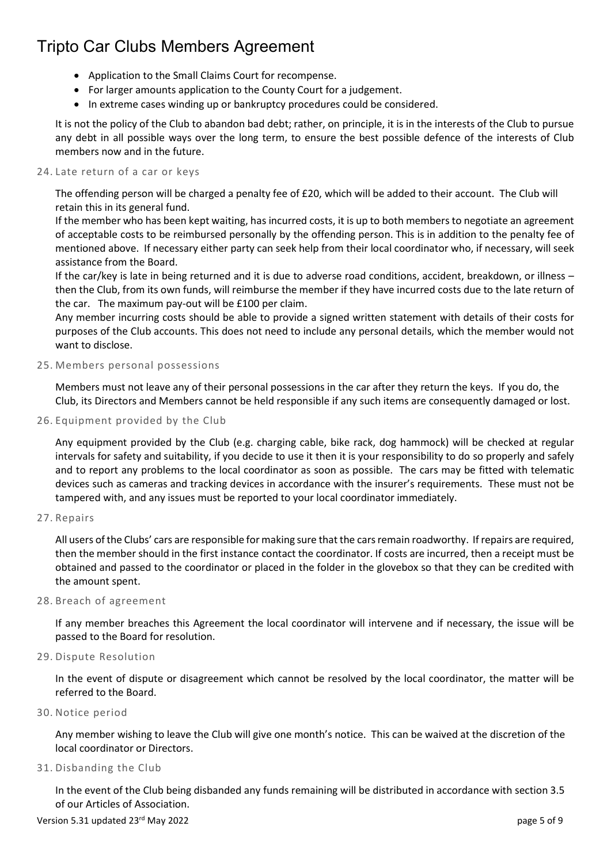- Application to the Small Claims Court for recompense.
- For larger amounts application to the County Court for a judgement.
- In extreme cases winding up or bankruptcy procedures could be considered.

It is not the policy of the Club to abandon bad debt; rather, on principle, it is in the interests of the Club to pursue any debt in all possible ways over the long term, to ensure the best possible defence of the interests of Club members now and in the future.

#### 24. Late return of a car or keys

The offending person will be charged a penalty fee of £20, which will be added to their account. The Club will retain this in its general fund.

If the member who has been kept waiting, has incurred costs, it is up to both members to negotiate an agreement of acceptable costs to be reimbursed personally by the offending person. This is in addition to the penalty fee of mentioned above. If necessary either party can seek help from their local coordinator who, if necessary, will seek assistance from the Board.

If the car/key is late in being returned and it is due to adverse road conditions, accident, breakdown, or illness – then the Club, from its own funds, will reimburse the member if they have incurred costs due to the late return of the car. The maximum pay-out will be £100 per claim.

Any member incurring costs should be able to provide a signed written statement with details of their costs for purposes of the Club accounts. This does not need to include any personal details, which the member would not want to disclose.

#### 25. Members personal possessions

Members must not leave any of their personal possessions in the car after they return the keys. If you do, the Club, its Directors and Members cannot be held responsible if any such items are consequently damaged or lost.

26. Equipment provided by the Club

Any equipment provided by the Club (e.g. charging cable, bike rack, dog hammock) will be checked at regular intervals for safety and suitability, if you decide to use it then it is your responsibility to do so properly and safely and to report any problems to the local coordinator as soon as possible. The cars may be fitted with telematic devices such as cameras and tracking devices in accordance with the insurer's requirements. These must not be tampered with, and any issues must be reported to your local coordinator immediately.

27. Repairs

All users of the Clubs' cars are responsible for making sure that the cars remain roadworthy. If repairs are required, then the member should in the first instance contact the coordinator. If costs are incurred, then a receipt must be obtained and passed to the coordinator or placed in the folder in the glovebox so that they can be credited with the amount spent.

28. Breach of agreement

If any member breaches this Agreement the local coordinator will intervene and if necessary, the issue will be passed to the Board for resolution.

29. Dispute Resolution

In the event of dispute or disagreement which cannot be resolved by the local coordinator, the matter will be referred to the Board.

30. Notice period

Any member wishing to leave the Club will give one month's notice. This can be waived at the discretion of the local coordinator or Directors.

31. Disbanding the Club

In the event of the Club being disbanded any funds remaining will be distributed in accordance with section 3.5 of our Articles of Association.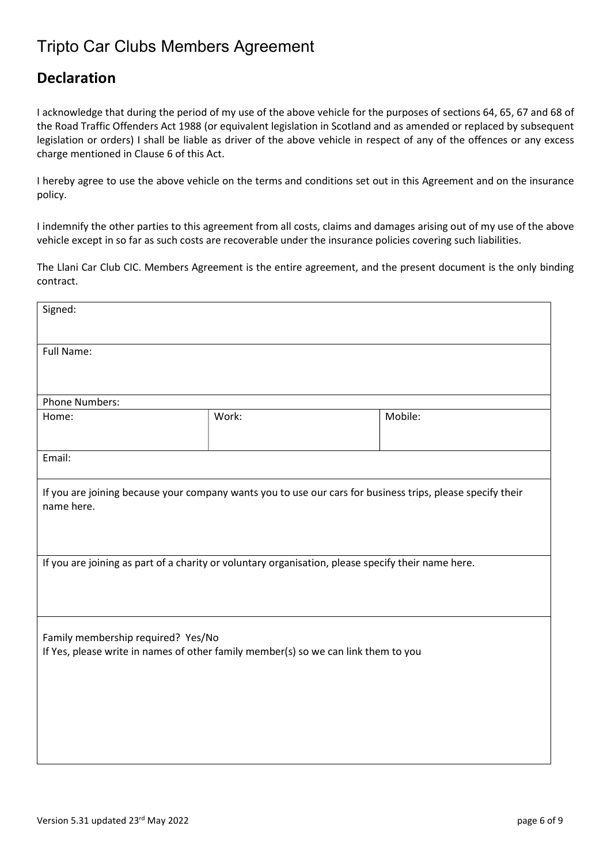### Declaration

I acknowledge that during the period of my use of the above vehicle for the purposes of sections 64, 65, 67 and 68 of the Road Traffic Offenders Act 1988 (or equivalent legislation in Scotland and as amended or replaced by subsequent legislation or orders) I shall be liable as driver of the above vehicle in respect of any of the offences or any excess charge mentioned in Clause 6 of this Act.

I hereby agree to use the above vehicle on the terms and conditions set out in this Agreement and on the insurance policy.

I indemnify the other parties to this agreement from all costs, claims and damages arising out of my use of the above vehicle except in so far as such costs are recoverable under the insurance policies covering such liabilities.

The Llani Car Club CIC. Members Agreement is the entire agreement, and the present document is the only binding contract.

| Signed:                                                                                                                  |       |         |  |  |
|--------------------------------------------------------------------------------------------------------------------------|-------|---------|--|--|
| <b>Full Name:</b>                                                                                                        |       |         |  |  |
|                                                                                                                          |       |         |  |  |
| <b>Phone Numbers:</b>                                                                                                    |       |         |  |  |
| Home:                                                                                                                    | Work: | Mobile: |  |  |
| Email:                                                                                                                   |       |         |  |  |
| If you are joining because your company wants you to use our cars for business trips, please specify their<br>name here. |       |         |  |  |
| If you are joining as part of a charity or voluntary organisation, please specify their name here.                       |       |         |  |  |
| Family membership required? Yes/No<br>If Yes, please write in names of other family member(s) so we can link them to you |       |         |  |  |
|                                                                                                                          |       |         |  |  |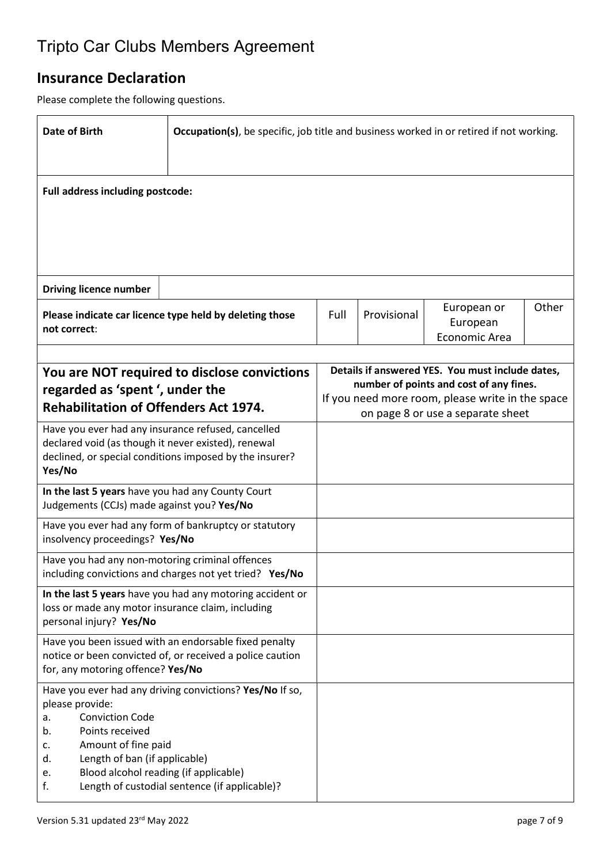## Insurance Declaration

Please complete the following questions.

| <b>Date of Birth</b>                                                                                                                                                                              | Occupation(s), be specific, job title and business worked in or retired if not working.                            |                                                                                             |             |                                          |       |  |
|---------------------------------------------------------------------------------------------------------------------------------------------------------------------------------------------------|--------------------------------------------------------------------------------------------------------------------|---------------------------------------------------------------------------------------------|-------------|------------------------------------------|-------|--|
| Full address including postcode:                                                                                                                                                                  |                                                                                                                    |                                                                                             |             |                                          |       |  |
|                                                                                                                                                                                                   |                                                                                                                    |                                                                                             |             |                                          |       |  |
| <b>Driving licence number</b>                                                                                                                                                                     |                                                                                                                    |                                                                                             |             |                                          |       |  |
| not correct:                                                                                                                                                                                      | Please indicate car licence type held by deleting those                                                            | Full                                                                                        | Provisional | European or<br>European<br>Economic Area | Other |  |
|                                                                                                                                                                                                   |                                                                                                                    |                                                                                             |             |                                          |       |  |
| You are NOT required to disclose convictions                                                                                                                                                      |                                                                                                                    | Details if answered YES. You must include dates,<br>number of points and cost of any fines. |             |                                          |       |  |
| regarded as 'spent', under the<br><b>Rehabilitation of Offenders Act 1974.</b>                                                                                                                    |                                                                                                                    | If you need more room, please write in the space<br>on page 8 or use a separate sheet       |             |                                          |       |  |
| Have you ever had any insurance refused, cancelled<br>declared void (as though it never existed), renewal<br>declined, or special conditions imposed by the insurer?<br>Yes/No                    |                                                                                                                    |                                                                                             |             |                                          |       |  |
| In the last 5 years have you had any County Court<br>Judgements (CCJs) made against you? Yes/No                                                                                                   |                                                                                                                    |                                                                                             |             |                                          |       |  |
| Have you ever had any form of bankruptcy or statutory<br>insolvency proceedings? Yes/No                                                                                                           |                                                                                                                    |                                                                                             |             |                                          |       |  |
| Have you had any non-motoring criminal offences<br>including convictions and charges not yet tried? Yes/No                                                                                        |                                                                                                                    |                                                                                             |             |                                          |       |  |
| In the last 5 years have you had any motoring accident or<br>loss or made any motor insurance claim, including<br>personal injury? Yes/No                                                         |                                                                                                                    |                                                                                             |             |                                          |       |  |
| for, any motoring offence? Yes/No                                                                                                                                                                 | Have you been issued with an endorsable fixed penalty<br>notice or been convicted of, or received a police caution |                                                                                             |             |                                          |       |  |
| please provide:<br><b>Conviction Code</b><br>a.<br>Points received<br>b.<br>Amount of fine paid<br>c.<br>Length of ban (if applicable)<br>d.<br>Blood alcohol reading (if applicable)<br>e.<br>f. | Have you ever had any driving convictions? Yes/No If so,<br>Length of custodial sentence (if applicable)?          |                                                                                             |             |                                          |       |  |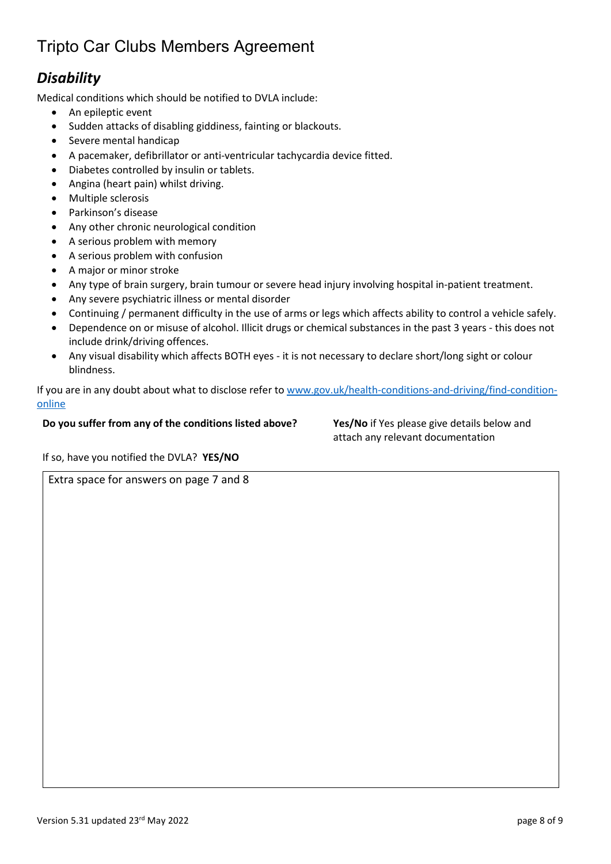## **Disability**

Medical conditions which should be notified to DVLA include:

- An epileptic event
- Sudden attacks of disabling giddiness, fainting or blackouts.
- Severe mental handicap
- A pacemaker, defibrillator or anti-ventricular tachycardia device fitted.
- Diabetes controlled by insulin or tablets.
- Angina (heart pain) whilst driving.
- Multiple sclerosis
- Parkinson's disease
- Any other chronic neurological condition
- A serious problem with memory
- A serious problem with confusion
- A major or minor stroke
- Any type of brain surgery, brain tumour or severe head injury involving hospital in-patient treatment.
- Any severe psychiatric illness or mental disorder
- Continuing / permanent difficulty in the use of arms or legs which affects ability to control a vehicle safely.
- Dependence on or misuse of alcohol. Illicit drugs or chemical substances in the past 3 years this does not include drink/driving offences.
- Any visual disability which affects BOTH eyes it is not necessary to declare short/long sight or colour blindness.

If you are in any doubt about what to disclose refer to www.gov.uk/health-conditions-and-driving/find-conditiononline

#### Do you suffer from any of the conditions listed above? Yes/No if Yes please give details below and

attach any relevant documentation

If so, have you notified the DVLA? YES/NO

Extra space for answers on page 7 and 8